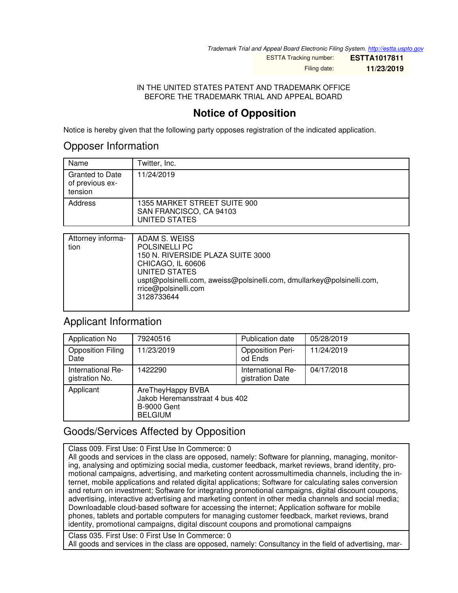*Trademark Trial and Appeal Board Electronic Filing System. <http://estta.uspto.gov>*

ESTTA Tracking number: **ESTTA1017811** Filing date: **11/23/2019**

IN THE UNITED STATES PATENT AND TRADEMARK OFFICE BEFORE THE TRADEMARK TRIAL AND APPEAL BOARD

# **Notice of Opposition**

Notice is hereby given that the following party opposes registration of the indicated application.

#### Opposer Information

| Name                                                 | Twitter, Inc.                                                            |
|------------------------------------------------------|--------------------------------------------------------------------------|
| <b>Granted to Date</b><br>of previous ex-<br>tension | 11/24/2019                                                               |
| Address                                              | 1355 MARKET STREET SUITE 900<br>SAN FRANCISCO, CA 94103<br>UNITED STATES |

| Attorney informa- | ADAM S. WEISS                                                          |
|-------------------|------------------------------------------------------------------------|
|                   |                                                                        |
| tion              | <b>POLSINELLI PC</b>                                                   |
|                   | 150 N. RIVERSIDE PLAZA SUITE 3000                                      |
|                   | CHICAGO, IL 60606                                                      |
|                   | UNITED STATES                                                          |
|                   | uspt@polsinelli.com, aweiss@polsinelli.com, dmullarkey@polsinelli.com, |
|                   | rrice@polsinelli.com                                                   |
|                   |                                                                        |
|                   | 3128733644                                                             |
|                   |                                                                        |
|                   |                                                                        |

### Applicant Information

| <b>Application No</b>               | 79240516                                                                                    | <b>Publication date</b>              | 05/28/2019 |
|-------------------------------------|---------------------------------------------------------------------------------------------|--------------------------------------|------------|
| <b>Opposition Filing</b><br>Date    | 11/23/2019                                                                                  | <b>Opposition Peri-</b><br>od Ends   | 11/24/2019 |
| International Re-<br>gistration No. | 1422290                                                                                     | International Re-<br>gistration Date | 04/17/2018 |
| Applicant                           | AreTheyHappy BVBA<br>Jakob Heremansstraat 4 bus 402<br><b>B-9000 Gent</b><br><b>BELGIUM</b> |                                      |            |

# Goods/Services Affected by Opposition

Class 009. First Use: 0 First Use In Commerce: 0 All goods and services in the class are opposed, namely: Software for planning, managing, monitoring, analysing and optimizing social media, customer feedback, market reviews, brand identity, promotional campaigns, advertising, and marketing content acrossmultimedia channels, including the internet, mobile applications and related digital applications; Software for calculating sales conversion and return on investment; Software for integrating promotional campaigns, digital discount coupons, advertising, interactive advertising and marketing content in other media channels and social media; Downloadable cloud-based software for accessing the internet; Application software for mobile phones, tablets and portable computers for managing customer feedback, market reviews, brand

identity, promotional campaigns, digital discount coupons and promotional campaigns

Class 035. First Use: 0 First Use In Commerce: 0 All goods and services in the class are opposed, namely: Consultancy in the field of advertising, mar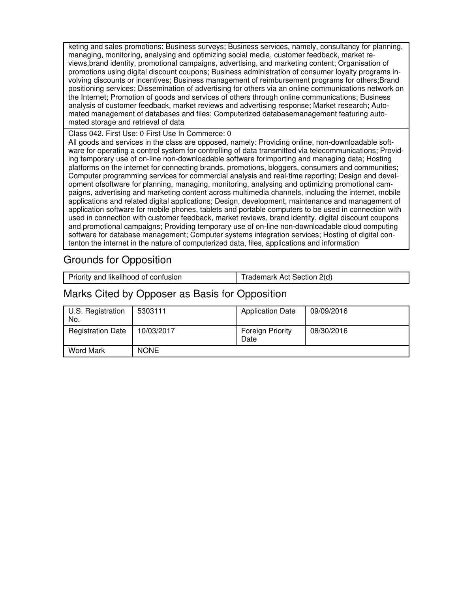keting and sales promotions; Business surveys; Business services, namely, consultancy for planning, managing, monitoring, analysing and optimizing social media, customer feedback, market reviews,brand identity, promotional campaigns, advertising, and marketing content; Organisation of promotions using digital discount coupons; Business administration of consumer loyalty programs involving discounts or incentives; Business management of reimbursement programs for others;Brand positioning services; Dissemination of advertising for others via an online communications network on the Internet; Promotion of goods and services of others through online communications; Business analysis of customer feedback, market reviews and advertising response; Market research; Automated management of databases and files; Computerized databasemanagement featuring automated storage and retrieval of data

Class 042. First Use: 0 First Use In Commerce: 0

All goods and services in the class are opposed, namely: Providing online, non-downloadable software for operating a control system for controlling of data transmitted via telecommunications; Providing temporary use of on-line non-downloadable software forimporting and managing data; Hosting platforms on the internet for connecting brands, promotions, bloggers, consumers and communities; Computer programming services for commercial analysis and real-time reporting; Design and development ofsoftware for planning, managing, monitoring, analysing and optimizing promotional campaigns, advertising and marketing content across multimedia channels, including the internet, mobile applications and related digital applications; Design, development, maintenance and management of application software for mobile phones, tablets and portable computers to be used in connection with used in connection with customer feedback, market reviews, brand identity, digital discount coupons and promotional campaigns; Providing temporary use of on-line non-downloadable cloud computing software for database management; Computer systems integration services; Hosting of digital contenton the internet in the nature of computerized data, files, applications and information

## Grounds for Opposition

| Priority and likelihood of confusion | Trademark Act Section 2(d) |
|--------------------------------------|----------------------------|
|                                      |                            |

## Marks Cited by Opposer as Basis for Opposition

| U.S. Registration<br>No. | 5303111     | <b>Application Date</b>         | 09/09/2016 |
|--------------------------|-------------|---------------------------------|------------|
| <b>Registration Date</b> | 10/03/2017  | <b>Foreign Priority</b><br>Date | 08/30/2016 |
| Word Mark                | <b>NONE</b> |                                 |            |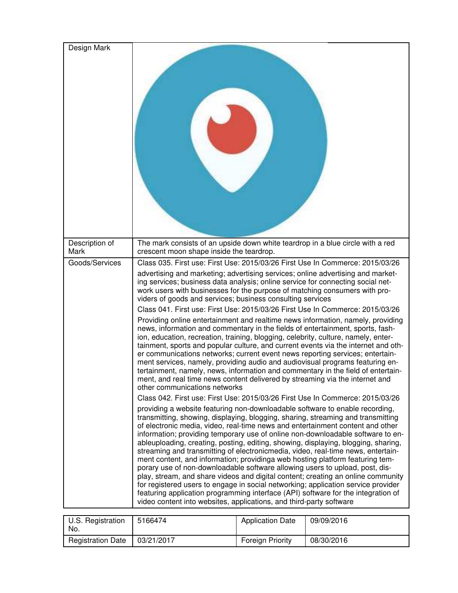| Design Mark             |                                                                                                                                                                                                                                                                                                                                                                                                                                                                                                                                                                                                                                                                                                                                                                                                                                                                                                                                                                                                                                                                                                         |
|-------------------------|---------------------------------------------------------------------------------------------------------------------------------------------------------------------------------------------------------------------------------------------------------------------------------------------------------------------------------------------------------------------------------------------------------------------------------------------------------------------------------------------------------------------------------------------------------------------------------------------------------------------------------------------------------------------------------------------------------------------------------------------------------------------------------------------------------------------------------------------------------------------------------------------------------------------------------------------------------------------------------------------------------------------------------------------------------------------------------------------------------|
| Description of<br>Mark  | The mark consists of an upside down white teardrop in a blue circle with a red<br>crescent moon shape inside the teardrop.                                                                                                                                                                                                                                                                                                                                                                                                                                                                                                                                                                                                                                                                                                                                                                                                                                                                                                                                                                              |
| Goods/Services          | Class 035. First use: First Use: 2015/03/26 First Use In Commerce: 2015/03/26                                                                                                                                                                                                                                                                                                                                                                                                                                                                                                                                                                                                                                                                                                                                                                                                                                                                                                                                                                                                                           |
|                         | advertising and marketing; advertising services; online advertising and market-<br>ing services; business data analysis; online service for connecting social net-<br>work users with businesses for the purpose of matching consumers with pro-<br>viders of goods and services; business consulting services<br>Class 041. First use: First Use: 2015/03/26 First Use In Commerce: 2015/03/26<br>Providing online entertainment and realtime news information, namely, providing                                                                                                                                                                                                                                                                                                                                                                                                                                                                                                                                                                                                                      |
|                         | news, information and commentary in the fields of entertainment, sports, fash-<br>ion, education, recreation, training, blogging, celebrity, culture, namely, enter-<br>tainment, sports and popular culture, and current events via the internet and oth-<br>er communications networks; current event news reporting services; entertain-<br>ment services, namely, providing audio and audiovisual programs featuring en-<br>tertainment, namely, news, information and commentary in the field of entertain-<br>ment, and real time news content delivered by streaming via the internet and<br>other communications networks                                                                                                                                                                                                                                                                                                                                                                                                                                                                       |
|                         | Class 042. First use: First Use: 2015/03/26 First Use In Commerce: 2015/03/26<br>providing a website featuring non-downloadable software to enable recording,<br>transmitting, showing, displaying, blogging, sharing, streaming and transmitting<br>of electronic media, video, real-time news and entertainment content and other<br>information; providing temporary use of online non-downloadable software to en-<br>ableuploading, creating, posting, editing, showing, displaying, blogging, sharing,<br>streaming and transmitting of electronicmedia, video, real-time news, entertain-<br>ment content, and information; providing a web hosting platform featuring tem-<br>porary use of non-downloadable software allowing users to upload, post, dis-<br>play, stream, and share videos and digital content; creating an online community<br>for registered users to engage in social networking; application service provider<br>featuring application programming interface (API) software for the integration of<br>video content into websites, applications, and third-party software |
| <b>ILC</b> Rogietration | Application Date 00/00/2016<br>5166171                                                                                                                                                                                                                                                                                                                                                                                                                                                                                                                                                                                                                                                                                                                                                                                                                                                                                                                                                                                                                                                                  |

| U.S. Registration<br>No. | 5166474    | <b>Application Date</b> | 09/09/2016 |
|--------------------------|------------|-------------------------|------------|
| <b>Registration Date</b> | 03/21/2017 | <b>Foreign Priority</b> | 08/30/2016 |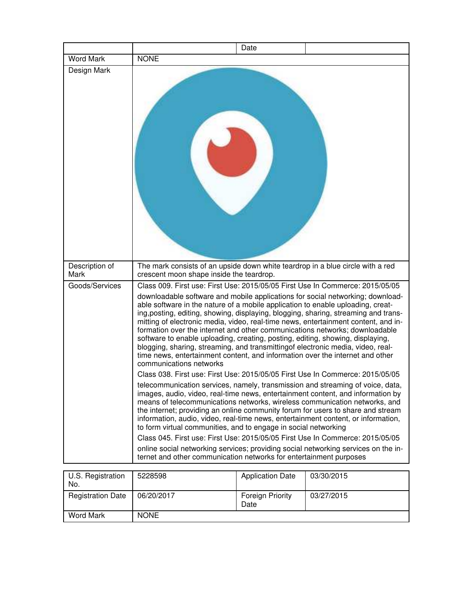|                        | Date                                                                                                                                                                                                                                                                                                                                                                                                                                                                                                                                                                                                                                                                                                                                                                                                                                                                                                                                                                                                                                                                                                                                                                                                                                                                                                                                                                                                                                                                                                                                                                                                                         |
|------------------------|------------------------------------------------------------------------------------------------------------------------------------------------------------------------------------------------------------------------------------------------------------------------------------------------------------------------------------------------------------------------------------------------------------------------------------------------------------------------------------------------------------------------------------------------------------------------------------------------------------------------------------------------------------------------------------------------------------------------------------------------------------------------------------------------------------------------------------------------------------------------------------------------------------------------------------------------------------------------------------------------------------------------------------------------------------------------------------------------------------------------------------------------------------------------------------------------------------------------------------------------------------------------------------------------------------------------------------------------------------------------------------------------------------------------------------------------------------------------------------------------------------------------------------------------------------------------------------------------------------------------------|
| Word Mark              | <b>NONE</b>                                                                                                                                                                                                                                                                                                                                                                                                                                                                                                                                                                                                                                                                                                                                                                                                                                                                                                                                                                                                                                                                                                                                                                                                                                                                                                                                                                                                                                                                                                                                                                                                                  |
| Design Mark            |                                                                                                                                                                                                                                                                                                                                                                                                                                                                                                                                                                                                                                                                                                                                                                                                                                                                                                                                                                                                                                                                                                                                                                                                                                                                                                                                                                                                                                                                                                                                                                                                                              |
| Description of<br>Mark | The mark consists of an upside down white teardrop in a blue circle with a red<br>crescent moon shape inside the teardrop.                                                                                                                                                                                                                                                                                                                                                                                                                                                                                                                                                                                                                                                                                                                                                                                                                                                                                                                                                                                                                                                                                                                                                                                                                                                                                                                                                                                                                                                                                                   |
| Goods/Services         | Class 009. First use: First Use: 2015/05/05 First Use In Commerce: 2015/05/05<br>downloadable software and mobile applications for social networking; download-<br>able software in the nature of a mobile application to enable uploading, creat-<br>ing, posting, editing, showing, displaying, blogging, sharing, streaming and trans-<br>mitting of electronic media, video, real-time news, entertainment content, and in-<br>formation over the internet and other communications networks; downloadable<br>software to enable uploading, creating, posting, editing, showing, displaying,<br>blogging, sharing, streaming, and transmitting of electronic media, video, real-<br>time news, entertainment content, and information over the internet and other<br>communications networks<br>Class 038. First use: First Use: 2015/05/05 First Use In Commerce: 2015/05/05<br>telecommunication services, namely, transmission and streaming of voice, data,<br>images, audio, video, real-time news, entertainment content, and information by<br>means of telecommunications networks, wireless communication networks, and<br>the internet; providing an online community forum for users to share and stream<br>information, audio, video, real-time news, entertainment content, or information,<br>to form virtual communities, and to engage in social networking<br>Class 045. First use: First Use: 2015/05/05 First Use In Commerce: 2015/05/05<br>online social networking services; providing social networking services on the in-<br>ternet and other communication networks for entertainment purposes |
| U.S. Registration      | <b>Application Date</b><br>5228598<br>03/30/2015                                                                                                                                                                                                                                                                                                                                                                                                                                                                                                                                                                                                                                                                                                                                                                                                                                                                                                                                                                                                                                                                                                                                                                                                                                                                                                                                                                                                                                                                                                                                                                             |

| U.S. Registration<br>No. | 5228598     | <b>Application Date</b>         | 03/30/2015 |
|--------------------------|-------------|---------------------------------|------------|
| <b>Registration Date</b> | 06/20/2017  | <b>Foreign Priority</b><br>Date | 03/27/2015 |
| <b>Word Mark</b>         | <b>NONE</b> |                                 |            |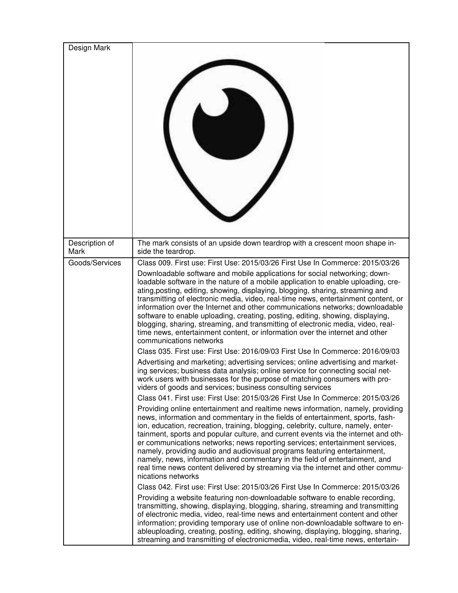| Design Mark            |                                                                                                                                                                                                                                                                                                                                                                                                                                                                                                                                                                                                                                                                                                                                                                                                                                                                                                                                                                                                                                                                                                                                                                                                                                                                                                                                                                                                                                                                                                                                                                                                                                                                                                                                                                                                                                                                                                                                                                                                                                                                                                                                                                                                                                                                                                                                                                                                                                                                                                                                                                                          |
|------------------------|------------------------------------------------------------------------------------------------------------------------------------------------------------------------------------------------------------------------------------------------------------------------------------------------------------------------------------------------------------------------------------------------------------------------------------------------------------------------------------------------------------------------------------------------------------------------------------------------------------------------------------------------------------------------------------------------------------------------------------------------------------------------------------------------------------------------------------------------------------------------------------------------------------------------------------------------------------------------------------------------------------------------------------------------------------------------------------------------------------------------------------------------------------------------------------------------------------------------------------------------------------------------------------------------------------------------------------------------------------------------------------------------------------------------------------------------------------------------------------------------------------------------------------------------------------------------------------------------------------------------------------------------------------------------------------------------------------------------------------------------------------------------------------------------------------------------------------------------------------------------------------------------------------------------------------------------------------------------------------------------------------------------------------------------------------------------------------------------------------------------------------------------------------------------------------------------------------------------------------------------------------------------------------------------------------------------------------------------------------------------------------------------------------------------------------------------------------------------------------------------------------------------------------------------------------------------------------------|
| Description of<br>Mark | The mark consists of an upside down teardrop with a crescent moon shape in-<br>side the teardrop.                                                                                                                                                                                                                                                                                                                                                                                                                                                                                                                                                                                                                                                                                                                                                                                                                                                                                                                                                                                                                                                                                                                                                                                                                                                                                                                                                                                                                                                                                                                                                                                                                                                                                                                                                                                                                                                                                                                                                                                                                                                                                                                                                                                                                                                                                                                                                                                                                                                                                        |
| Goods/Services         | Class 009. First use: First Use: 2015/03/26 First Use In Commerce: 2015/03/26<br>Downloadable software and mobile applications for social networking; down-<br>loadable software in the nature of a mobile application to enable uploading, cre-<br>ating, posting, editing, showing, displaying, blogging, sharing, streaming and<br>transmitting of electronic media, video, real-time news, entertainment content, or<br>information over the Internet and other communications networks; downloadable<br>software to enable uploading, creating, posting, editing, showing, displaying,<br>blogging, sharing, streaming, and transmitting of electronic media, video, real-<br>time news, entertainment content, or information over the internet and other<br>communications networks<br>Class 035. First use: First Use: 2016/09/03 First Use In Commerce: 2016/09/03<br>Advertising and marketing; advertising services; online advertising and market-<br>ing services; business data analysis; online service for connecting social net-<br>work users with businesses for the purpose of matching consumers with pro-<br>viders of goods and services; business consulting services<br>Class 041. First use: First Use: 2015/03/26 First Use In Commerce: 2015/03/26<br>Providing online entertainment and realtime news information, namely, providing<br>news, information and commentary in the fields of entertainment, sports, fash-<br>ion, education, recreation, training, blogging, celebrity, culture, namely, enter-<br>tainment, sports and popular culture, and current events via the internet and oth-<br>er communications networks; news reporting services; entertainment services,<br>namely, providing audio and audiovisual programs featuring entertainment,<br>namely, news, information and commentary in the field of entertainment, and<br>real time news content delivered by streaming via the internet and other commu-<br>nications networks<br>Class 042. First use: First Use: 2015/03/26 First Use In Commerce: 2015/03/26<br>Providing a website featuring non-downloadable software to enable recording,<br>transmitting, showing, displaying, blogging, sharing, streaming and transmitting<br>of electronic media, video, real-time news and entertainment content and other<br>information; providing temporary use of online non-downloadable software to en-<br>ableuploading, creating, posting, editing, showing, displaying, blogging, sharing,<br>streaming and transmitting of electronicmedia, video, real-time news, entertain- |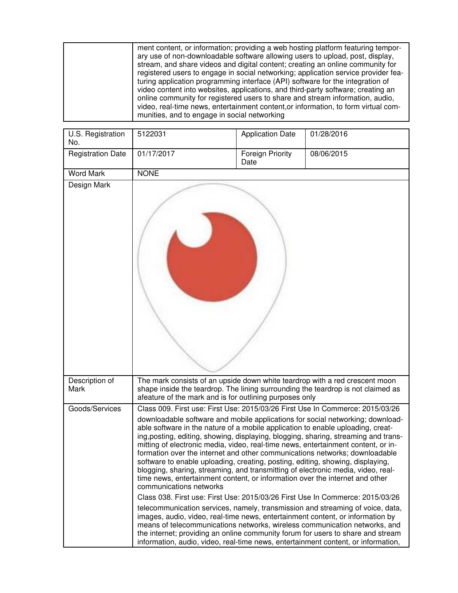| ment content, or information; providing a web hosting platform featuring tempor-<br>ary use of non-downloadable software allowing users to upload, post, display,<br>stream, and share videos and digital content; creating an online community for<br>registered users to engage in social networking; application service provider fea-<br>turing application programming interface (API) software for the integration of<br>video content into websites, applications, and third-party software; creating an<br>online community for registered users to share and stream information, audio,<br>video, real-time news, entertainment content, or information, to form virtual com-<br>munities, and to engage in social networking |  |
|----------------------------------------------------------------------------------------------------------------------------------------------------------------------------------------------------------------------------------------------------------------------------------------------------------------------------------------------------------------------------------------------------------------------------------------------------------------------------------------------------------------------------------------------------------------------------------------------------------------------------------------------------------------------------------------------------------------------------------------|--|
|----------------------------------------------------------------------------------------------------------------------------------------------------------------------------------------------------------------------------------------------------------------------------------------------------------------------------------------------------------------------------------------------------------------------------------------------------------------------------------------------------------------------------------------------------------------------------------------------------------------------------------------------------------------------------------------------------------------------------------------|--|

| U.S. Registration<br>No. | 5122031                                                                                                                                                                                                                                                                                                                                                                                                                                                                                                                              | <b>Application Date</b>         | 01/28/2016                                                                                                                                                                                                                                                                                                                           |
|--------------------------|--------------------------------------------------------------------------------------------------------------------------------------------------------------------------------------------------------------------------------------------------------------------------------------------------------------------------------------------------------------------------------------------------------------------------------------------------------------------------------------------------------------------------------------|---------------------------------|--------------------------------------------------------------------------------------------------------------------------------------------------------------------------------------------------------------------------------------------------------------------------------------------------------------------------------------|
| <b>Registration Date</b> | 01/17/2017                                                                                                                                                                                                                                                                                                                                                                                                                                                                                                                           | <b>Foreign Priority</b><br>Date | 08/06/2015                                                                                                                                                                                                                                                                                                                           |
| <b>Word Mark</b>         | <b>NONE</b>                                                                                                                                                                                                                                                                                                                                                                                                                                                                                                                          |                                 |                                                                                                                                                                                                                                                                                                                                      |
| Design Mark              |                                                                                                                                                                                                                                                                                                                                                                                                                                                                                                                                      |                                 |                                                                                                                                                                                                                                                                                                                                      |
| Description of<br>Mark   | The mark consists of an upside down white teardrop with a red crescent moon<br>afeature of the mark and is for outlining purposes only                                                                                                                                                                                                                                                                                                                                                                                               |                                 | shape inside the teardrop. The lining surrounding the teardrop is not claimed as                                                                                                                                                                                                                                                     |
| Goods/Services           |                                                                                                                                                                                                                                                                                                                                                                                                                                                                                                                                      |                                 | Class 009. First use: First Use: 2015/03/26 First Use In Commerce: 2015/03/26                                                                                                                                                                                                                                                        |
|                          | able software in the nature of a mobile application to enable uploading, creat-<br>mitting of electronic media, video, real-time news, entertainment content, or in-<br>formation over the internet and other communications networks; downloadable<br>software to enable uploading, creating, posting, editing, showing, displaying,<br>blogging, sharing, streaming, and transmitting of electronic media, video, real-<br>time news, entertainment content, or information over the internet and other<br>communications networks |                                 | downloadable software and mobile applications for social networking; download-<br>ing, posting, editing, showing, displaying, blogging, sharing, streaming and trans-                                                                                                                                                                |
|                          |                                                                                                                                                                                                                                                                                                                                                                                                                                                                                                                                      |                                 | Class 038. First use: First Use: 2015/03/26 First Use In Commerce: 2015/03/26                                                                                                                                                                                                                                                        |
|                          | images, audio, video, real-time news, entertainment content, or information by                                                                                                                                                                                                                                                                                                                                                                                                                                                       |                                 | telecommunication services, namely, transmission and streaming of voice, data,<br>means of telecommunications networks, wireless communication networks, and<br>the internet; providing an online community forum for users to share and stream<br>information, audio, video, real-time news, entertainment content, or information, |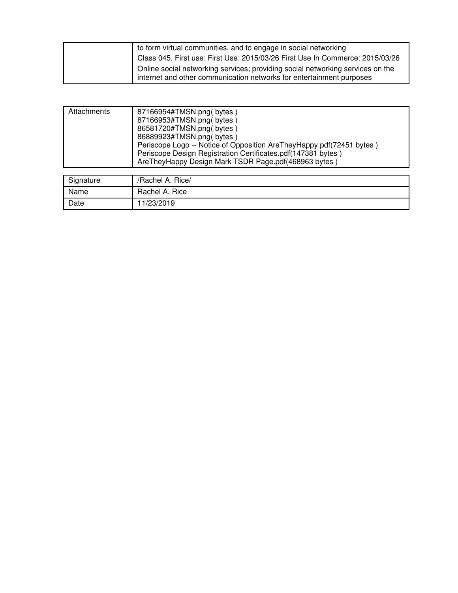| to form virtual communities, and to engage in social networking                |
|--------------------------------------------------------------------------------|
| Class 045. First use: First Use: 2015/03/26 First Use In Commerce: 2015/03/26  |
| Online social networking services; providing social networking services on the |
| internet and other communication networks for entertainment purposes           |

| Attachments | 87166954#TMSN.png(bytes)<br>87166953#TMSN.png(bytes)<br>86581720#TMSN.png(bytes)<br>86889923#TMSN.png(bytes)<br>Periscope Logo -- Notice of Opposition AreTheyHappy.pdf(72451 bytes)<br>Periscope Design Registration Certificates.pdf(147381 bytes)<br>Are They Happy Design Mark TSDR Page.pdf (468963 bytes) |
|-------------|-----------------------------------------------------------------------------------------------------------------------------------------------------------------------------------------------------------------------------------------------------------------------------------------------------------------|
| Signature   | /Rachel A. Rice/                                                                                                                                                                                                                                                                                                |
| Name        | Rachel A. Rice                                                                                                                                                                                                                                                                                                  |
| Date        | 11/23/2019                                                                                                                                                                                                                                                                                                      |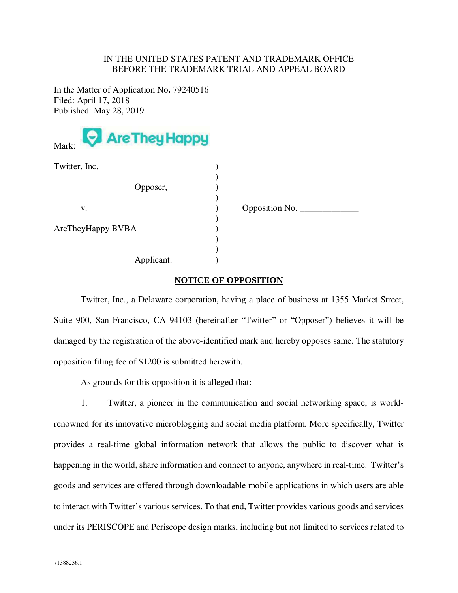#### IN THE UNITED STATES PATENT AND TRADEMARK OFFICE BEFORE THE TRADEMARK TRIAL AND APPEAL BOARD

In the Matter of Application No**.** 79240516 Filed: April 17, 2018 Published: May 28, 2019



| Twitter, Inc.     |                  |
|-------------------|------------------|
| Opposer,          |                  |
| V.                | Opposition No. _ |
| AreTheyHappy BVBA |                  |
| Applicant.        |                  |

#### **NOTICE OF OPPOSITION**

 Twitter, Inc., a Delaware corporation, having a place of business at 1355 Market Street, Suite 900, San Francisco, CA 94103 (hereinafter "Twitter" or "Opposer") believes it will be damaged by the registration of the above-identified mark and hereby opposes same. The statutory opposition filing fee of \$1200 is submitted herewith.

As grounds for this opposition it is alleged that:

1. Twitter, a pioneer in the communication and social networking space, is worldrenowned for its innovative microblogging and social media platform. More specifically, Twitter provides a real-time global information network that allows the public to discover what is happening in the world, share information and connect to anyone, anywhere in real-time. Twitter's goods and services are offered through downloadable mobile applications in which users are able to interact with Twitter's various services. To that end, Twitter provides various goods and services under its PERISCOPE and Periscope design marks, including but not limited to services related to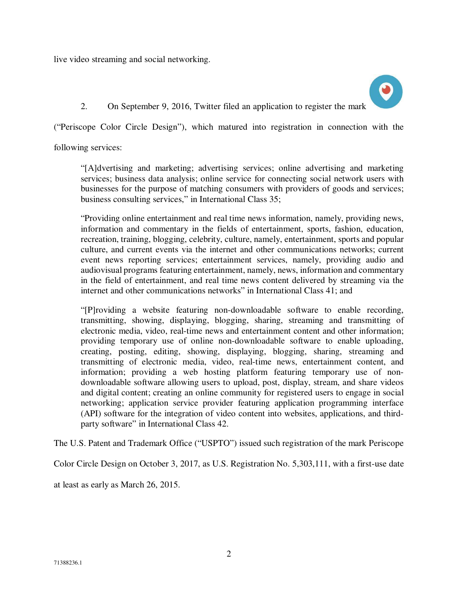live video streaming and social networking.



2. On September 9, 2016, Twitter filed an application to register the mark

("Periscope Color Circle Design"), which matured into registration in connection with the

following services:

"[A]dvertising and marketing; advertising services; online advertising and marketing services; business data analysis; online service for connecting social network users with businesses for the purpose of matching consumers with providers of goods and services; business consulting services," in International Class 35;

"Providing online entertainment and real time news information, namely, providing news, information and commentary in the fields of entertainment, sports, fashion, education, recreation, training, blogging, celebrity, culture, namely, entertainment, sports and popular culture, and current events via the internet and other communications networks; current event news reporting services; entertainment services, namely, providing audio and audiovisual programs featuring entertainment, namely, news, information and commentary in the field of entertainment, and real time news content delivered by streaming via the internet and other communications networks" in International Class 41; and

"[P]roviding a website featuring non-downloadable software to enable recording, transmitting, showing, displaying, blogging, sharing, streaming and transmitting of electronic media, video, real-time news and entertainment content and other information; providing temporary use of online non-downloadable software to enable uploading, creating, posting, editing, showing, displaying, blogging, sharing, streaming and transmitting of electronic media, video, real-time news, entertainment content, and information; providing a web hosting platform featuring temporary use of nondownloadable software allowing users to upload, post, display, stream, and share videos and digital content; creating an online community for registered users to engage in social networking; application service provider featuring application programming interface (API) software for the integration of video content into websites, applications, and thirdparty software" in International Class 42.

The U.S. Patent and Trademark Office ("USPTO") issued such registration of the mark Periscope

Color Circle Design on October 3, 2017, as U.S. Registration No. 5,303,111, with a first-use date

at least as early as March 26, 2015.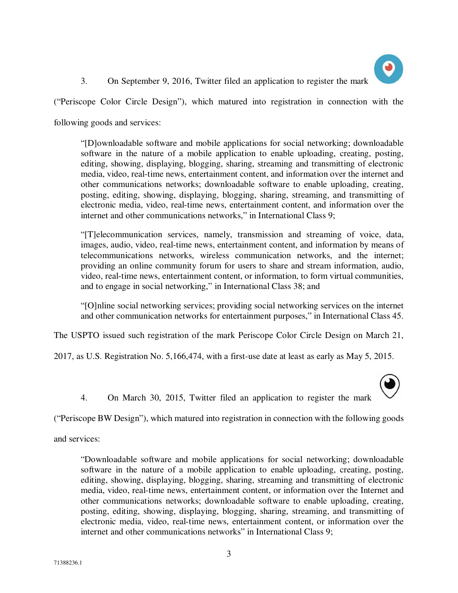

3. On September 9, 2016, Twitter filed an application to register the mark

("Periscope Color Circle Design"), which matured into registration in connection with the

following goods and services:

"[D]ownloadable software and mobile applications for social networking; downloadable software in the nature of a mobile application to enable uploading, creating, posting, editing, showing, displaying, blogging, sharing, streaming and transmitting of electronic media, video, real-time news, entertainment content, and information over the internet and other communications networks; downloadable software to enable uploading, creating, posting, editing, showing, displaying, blogging, sharing, streaming, and transmitting of electronic media, video, real-time news, entertainment content, and information over the internet and other communications networks," in International Class 9;

"[T]elecommunication services, namely, transmission and streaming of voice, data, images, audio, video, real-time news, entertainment content, and information by means of telecommunications networks, wireless communication networks, and the internet; providing an online community forum for users to share and stream information, audio, video, real-time news, entertainment content, or information, to form virtual communities, and to engage in social networking," in International Class 38; and

"[O]nline social networking services; providing social networking services on the internet and other communication networks for entertainment purposes," in International Class 45.

The USPTO issued such registration of the mark Periscope Color Circle Design on March 21,

2017, as U.S. Registration No. 5,166,474, with a first-use date at least as early as May 5, 2015.

4. On March 30, 2015, Twitter filed an application to register the mark

("Periscope BW Design"), which matured into registration in connection with the following goods

and services:

"Downloadable software and mobile applications for social networking; downloadable software in the nature of a mobile application to enable uploading, creating, posting, editing, showing, displaying, blogging, sharing, streaming and transmitting of electronic media, video, real-time news, entertainment content, or information over the Internet and other communications networks; downloadable software to enable uploading, creating, posting, editing, showing, displaying, blogging, sharing, streaming, and transmitting of electronic media, video, real-time news, entertainment content, or information over the internet and other communications networks" in International Class 9;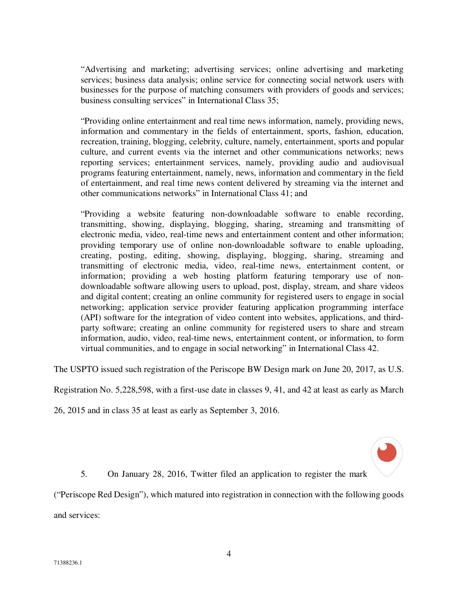"Advertising and marketing; advertising services; online advertising and marketing services; business data analysis; online service for connecting social network users with businesses for the purpose of matching consumers with providers of goods and services; business consulting services" in International Class 35;

"Providing online entertainment and real time news information, namely, providing news, information and commentary in the fields of entertainment, sports, fashion, education, recreation, training, blogging, celebrity, culture, namely, entertainment, sports and popular culture, and current events via the internet and other communications networks; news reporting services; entertainment services, namely, providing audio and audiovisual programs featuring entertainment, namely, news, information and commentary in the field of entertainment, and real time news content delivered by streaming via the internet and other communications networks" in International Class 41; and

"Providing a website featuring non-downloadable software to enable recording, transmitting, showing, displaying, blogging, sharing, streaming and transmitting of electronic media, video, real-time news and entertainment content and other information; providing temporary use of online non-downloadable software to enable uploading, creating, posting, editing, showing, displaying, blogging, sharing, streaming and transmitting of electronic media, video, real-time news, entertainment content, or information; providing a web hosting platform featuring temporary use of nondownloadable software allowing users to upload, post, display, stream, and share videos and digital content; creating an online community for registered users to engage in social networking; application service provider featuring application programming interface (API) software for the integration of video content into websites, applications, and thirdparty software; creating an online community for registered users to share and stream information, audio, video, real-time news, entertainment content, or information, to form virtual communities, and to engage in social networking" in International Class 42.

The USPTO issued such registration of the Periscope BW Design mark on June 20, 2017, as U.S.

Registration No. 5,228,598, with a first-use date in classes 9, 41, and 42 at least as early as March

26, 2015 and in class 35 at least as early as September 3, 2016.



5. On January 28, 2016, Twitter filed an application to register the mark

("Periscope Red Design"), which matured into registration in connection with the following goods and services: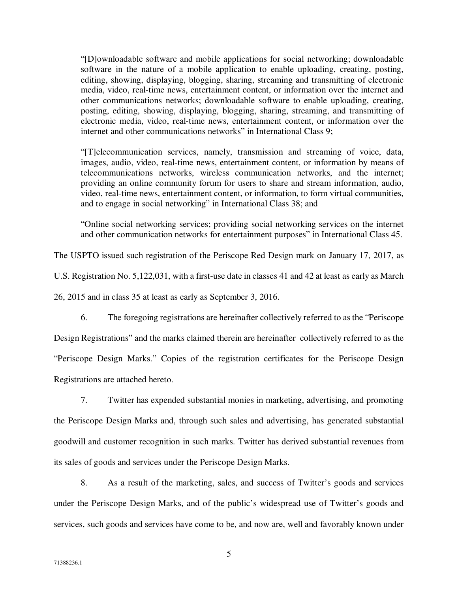"[D]ownloadable software and mobile applications for social networking; downloadable software in the nature of a mobile application to enable uploading, creating, posting, editing, showing, displaying, blogging, sharing, streaming and transmitting of electronic media, video, real-time news, entertainment content, or information over the internet and other communications networks; downloadable software to enable uploading, creating, posting, editing, showing, displaying, blogging, sharing, streaming, and transmitting of electronic media, video, real-time news, entertainment content, or information over the internet and other communications networks" in International Class 9;

"[T]elecommunication services, namely, transmission and streaming of voice, data, images, audio, video, real-time news, entertainment content, or information by means of telecommunications networks, wireless communication networks, and the internet; providing an online community forum for users to share and stream information, audio, video, real-time news, entertainment content, or information, to form virtual communities, and to engage in social networking" in International Class 38; and

"Online social networking services; providing social networking services on the internet and other communication networks for entertainment purposes" in International Class 45.

The USPTO issued such registration of the Periscope Red Design mark on January 17, 2017, as

U.S. Registration No. 5,122,031, with a first-use date in classes 41 and 42 at least as early as March

26, 2015 and in class 35 at least as early as September 3, 2016.

6. The foregoing registrations are hereinafter collectively referred to as the "Periscope

Design Registrations" and the marks claimed therein are hereinafter collectively referred to as the "Periscope Design Marks." Copies of the registration certificates for the Periscope Design Registrations are attached hereto.

7. Twitter has expended substantial monies in marketing, advertising, and promoting the Periscope Design Marks and, through such sales and advertising, has generated substantial goodwill and customer recognition in such marks. Twitter has derived substantial revenues from its sales of goods and services under the Periscope Design Marks.

8. As a result of the marketing, sales, and success of Twitter's goods and services under the Periscope Design Marks, and of the public's widespread use of Twitter's goods and services, such goods and services have come to be, and now are, well and favorably known under

5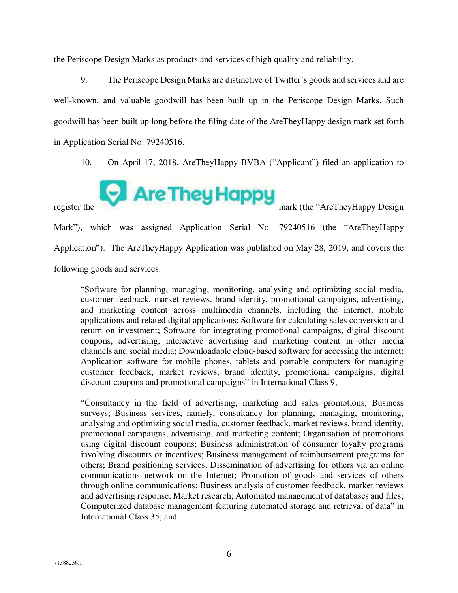the Periscope Design Marks as products and services of high quality and reliability.

9. The Periscope Design Marks are distinctive of Twitter's goods and services and are well-known, and valuable goodwill has been built up in the Periscope Design Marks. Such goodwill has been built up long before the filing date of the AreTheyHappy design mark set forth in Application Serial No. 79240516.

10. On April 17, 2018, AreTheyHappy BVBA ("Applicant") filed an application to



Mark"), which was assigned Application Serial No. 79240516 (the "AreTheyHappy Application"). The AreTheyHappy Application was published on May 28, 2019, and covers the following goods and services:

"Software for planning, managing, monitoring, analysing and optimizing social media, customer feedback, market reviews, brand identity, promotional campaigns, advertising, and marketing content across multimedia channels, including the internet, mobile applications and related digital applications; Software for calculating sales conversion and return on investment; Software for integrating promotional campaigns, digital discount coupons, advertising, interactive advertising and marketing content in other media channels and social media; Downloadable cloud-based software for accessing the internet; Application software for mobile phones, tablets and portable computers for managing customer feedback, market reviews, brand identity, promotional campaigns, digital discount coupons and promotional campaigns" in International Class 9;

"Consultancy in the field of advertising, marketing and sales promotions; Business surveys; Business services, namely, consultancy for planning, managing, monitoring, analysing and optimizing social media, customer feedback, market reviews, brand identity, promotional campaigns, advertising, and marketing content; Organisation of promotions using digital discount coupons; Business administration of consumer loyalty programs involving discounts or incentives; Business management of reimbursement programs for others; Brand positioning services; Dissemination of advertising for others via an online communications network on the Internet; Promotion of goods and services of others through online communications; Business analysis of customer feedback, market reviews and advertising response; Market research; Automated management of databases and files; Computerized database management featuring automated storage and retrieval of data" in International Class 35; and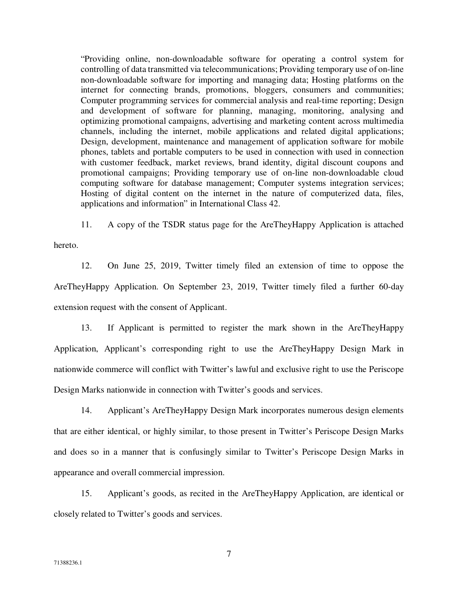"Providing online, non-downloadable software for operating a control system for controlling of data transmitted via telecommunications; Providing temporary use of on-line non-downloadable software for importing and managing data; Hosting platforms on the internet for connecting brands, promotions, bloggers, consumers and communities; Computer programming services for commercial analysis and real-time reporting; Design and development of software for planning, managing, monitoring, analysing and optimizing promotional campaigns, advertising and marketing content across multimedia channels, including the internet, mobile applications and related digital applications; Design, development, maintenance and management of application software for mobile phones, tablets and portable computers to be used in connection with used in connection with customer feedback, market reviews, brand identity, digital discount coupons and promotional campaigns; Providing temporary use of on-line non-downloadable cloud computing software for database management; Computer systems integration services; Hosting of digital content on the internet in the nature of computerized data, files, applications and information" in International Class 42.

11. A copy of the TSDR status page for the AreTheyHappy Application is attached

hereto.

12. On June 25, 2019, Twitter timely filed an extension of time to oppose the AreTheyHappy Application. On September 23, 2019, Twitter timely filed a further 60-day extension request with the consent of Applicant.

13. If Applicant is permitted to register the mark shown in the AreTheyHappy Application, Applicant's corresponding right to use the AreTheyHappy Design Mark in nationwide commerce will conflict with Twitter's lawful and exclusive right to use the Periscope Design Marks nationwide in connection with Twitter's goods and services.

14. Applicant's AreTheyHappy Design Mark incorporates numerous design elements that are either identical, or highly similar, to those present in Twitter's Periscope Design Marks and does so in a manner that is confusingly similar to Twitter's Periscope Design Marks in appearance and overall commercial impression.

15. Applicant's goods, as recited in the AreTheyHappy Application, are identical or closely related to Twitter's goods and services.

7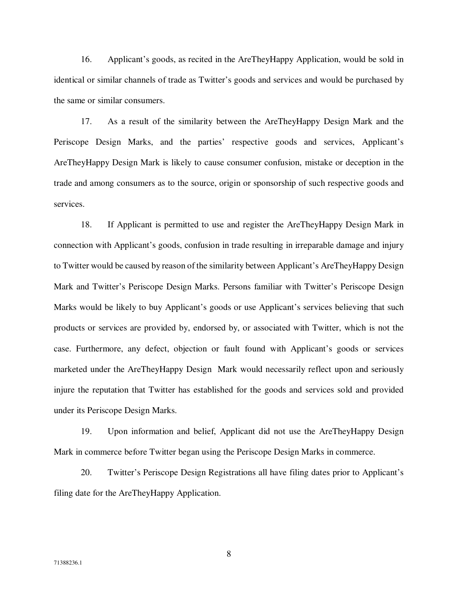16. Applicant's goods, as recited in the AreTheyHappy Application, would be sold in identical or similar channels of trade as Twitter's goods and services and would be purchased by the same or similar consumers.

17. As a result of the similarity between the AreTheyHappy Design Mark and the Periscope Design Marks, and the parties' respective goods and services, Applicant's AreTheyHappy Design Mark is likely to cause consumer confusion, mistake or deception in the trade and among consumers as to the source, origin or sponsorship of such respective goods and services.

18. If Applicant is permitted to use and register the AreTheyHappy Design Mark in connection with Applicant's goods, confusion in trade resulting in irreparable damage and injury to Twitter would be caused by reason of the similarity between Applicant's AreTheyHappy Design Mark and Twitter's Periscope Design Marks. Persons familiar with Twitter's Periscope Design Marks would be likely to buy Applicant's goods or use Applicant's services believing that such products or services are provided by, endorsed by, or associated with Twitter, which is not the case. Furthermore, any defect, objection or fault found with Applicant's goods or services marketed under the AreTheyHappy Design Mark would necessarily reflect upon and seriously injure the reputation that Twitter has established for the goods and services sold and provided under its Periscope Design Marks.

19. Upon information and belief, Applicant did not use the AreTheyHappy Design Mark in commerce before Twitter began using the Periscope Design Marks in commerce.

20. Twitter's Periscope Design Registrations all have filing dates prior to Applicant's filing date for the AreTheyHappy Application.

8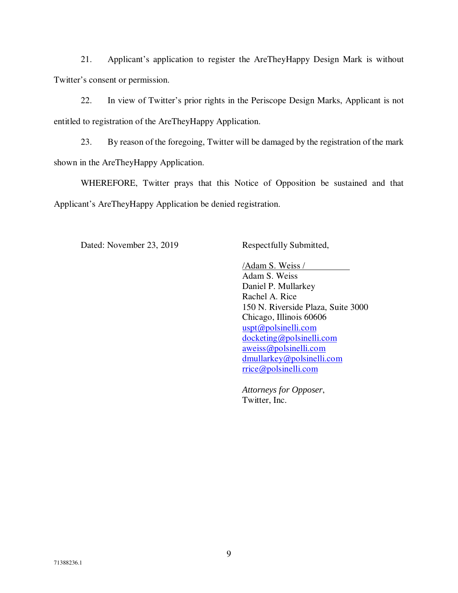21. Applicant's application to register the AreTheyHappy Design Mark is without Twitter's consent or permission.

22. In view of Twitter's prior rights in the Periscope Design Marks, Applicant is not entitled to registration of the AreTheyHappy Application.

23. By reason of the foregoing, Twitter will be damaged by the registration of the mark shown in the AreTheyHappy Application.

WHEREFORE, Twitter prays that this Notice of Opposition be sustained and that Applicant's AreTheyHappy Application be denied registration.

Dated: November 23, 2019 Respectfully Submitted,

 /Adam S. Weiss / Adam S. Weiss Daniel P. Mullarkey Rachel A. Rice 150 N. Riverside Plaza, Suite 3000 Chicago, Illinois 60606 uspt@polsinelli.com docketing@polsinelli.com aweiss@polsinelli.com dmullarkey@polsinelli.com rrice@polsinelli.com

 *Attorneys for Opposer*, Twitter, Inc.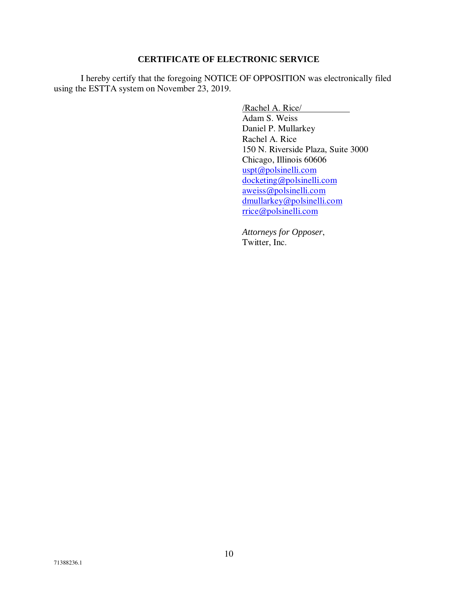#### **CERTIFICATE OF ELECTRONIC SERVICE**

 I hereby certify that the foregoing NOTICE OF OPPOSITION was electronically filed using the ESTTA system on November 23, 2019.

> /Rachel A. Rice/ Adam S. Weiss Daniel P. Mullarkey Rachel A. Rice 150 N. Riverside Plaza, Suite 3000 Chicago, Illinois 60606 uspt@polsinelli.com docketing@polsinelli.com aweiss@polsinelli.com dmullarkey@polsinelli.com rrice@polsinelli.com

 *Attorneys for Opposer*, Twitter, Inc.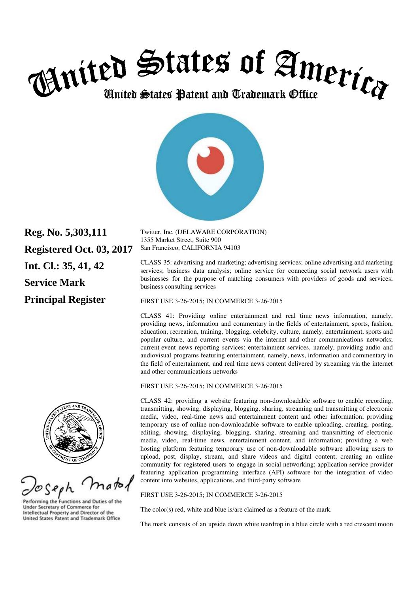



**Reg. No. 5,303,111 Registered Oct. 03, 2017 Int. Cl.: 35, 41, 42 Service Mark Principal Register** 

matol

Performing the Functions and Duties of the **Under Secretary of Commerce for** Intellectual Property and Director of the United States Patent and Trademark Office

Twitter, Inc. (DELAWARE CORPORATION) 1355 Market Street, Suite 900 San Francisco, CALIFORNIA 94103

CLASS 35: advertising and marketing; advertising services; online advertising and marketing services; business data analysis; online service for connecting social network users with businesses for the purpose of matching consumers with providers of goods and services; business consulting services

FIRST USE 3-26-2015; IN COMMERCE 3-26-2015

CLASS 41: Providing online entertainment and real time news information, namely, providing news, information and commentary in the fields of entertainment, sports, fashion, education, recreation, training, blogging, celebrity, culture, namely, entertainment, sports and popular culture, and current events via the internet and other communications networks; current event news reporting services; entertainment services, namely, providing audio and audiovisual programs featuring entertainment, namely, news, information and commentary in the field of entertainment, and real time news content delivered by streaming via the internet and other communications networks

FIRST USE 3-26-2015; IN COMMERCE 3-26-2015

CLASS 42: providing a website featuring non-downloadable software to enable recording, transmitting, showing, displaying, blogging, sharing, streaming and transmitting of electronic media, video, real-time news and entertainment content and other information; providing temporary use of online non-downloadable software to enable uploading, creating, posting, editing, showing, displaying, blogging, sharing, streaming and transmitting of electronic media, video, real-time news, entertainment content, and information; providing a web hosting platform featuring temporary use of non-downloadable software allowing users to upload, post, display, stream, and share videos and digital content; creating an online community for registered users to engage in social networking; application service provider featuring application programming interface (API) software for the integration of video content into websites, applications, and third-party software

FIRST USE 3-26-2015; IN COMMERCE 3-26-2015

The color(s) red, white and blue is/are claimed as a feature of the mark.

The mark consists of an upside down white teardrop in a blue circle with a red crescent moon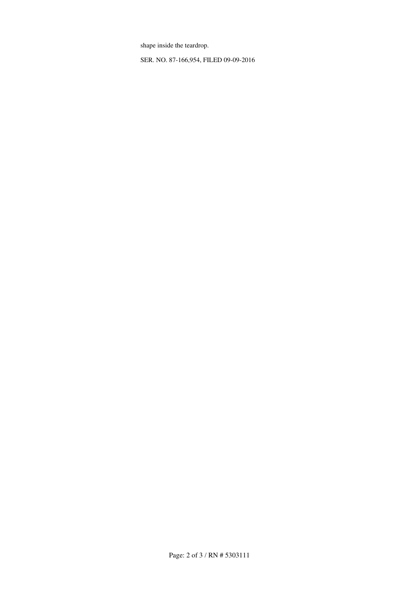shape inside the teardrop.

SER. NO. 87-166,954, FILED 09-09-2016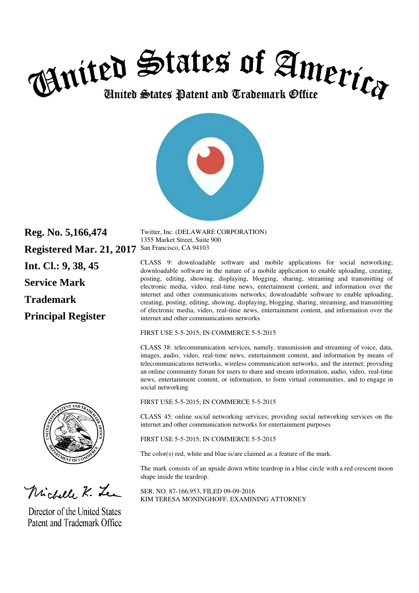



**Reg. No. 5,166,474 Registered Mar. 21, 2017**  San Francisco, CA 94103 **Int. Cl.: 9, 38, 45 Service Mark Trademark Principal Register** 

Michell K. Le

Director of the United States Patent and Trademark Office Twitter, Inc. (DELAWARE CORPORATION) 1355 Market Street, Suite 900

CLASS 9: downloadable software and mobile applications for social networking; downloadable software in the nature of a mobile application to enable uploading, creating, posting, editing, showing, displaying, blogging, sharing, streaming and transmitting of electronic media, video, real-time news, entertainment content, and information over the internet and other communications networks; downloadable software to enable uploading, creating, posting, editing, showing, displaying, blogging, sharing, streaming, and transmitting of electronic media, video, real-time news, entertainment content, and information over the internet and other communications networks

FIRST USE 5-5-2015; IN COMMERCE 5-5-2015

CLASS 38: telecommunication services, namely, transmission and streaming of voice, data, images, audio, video, real-time news, entertainment content, and information by means of telecommunications networks, wireless communication networks, and the internet; providing an online community forum for users to share and stream information, audio, video, real-time news, entertainment content, or information, to form virtual communities, and to engage in social networking

FIRST USE 5-5-2015; IN COMMERCE 5-5-2015

CLASS 45: online social networking services; providing social networking services on the internet and other communication networks for entertainment purposes

FIRST USE 5-5-2015; IN COMMERCE 5-5-2015

The color(s) red, white and blue is/are claimed as a feature of the mark.

The mark consists of an upside down white teardrop in a blue circle with a red crescent moon shape inside the teardrop.

SER. NO. 87-166,953, FILED 09-09-2016 KIM TERESA MONINGHOFF, EXAMINING ATTORNEY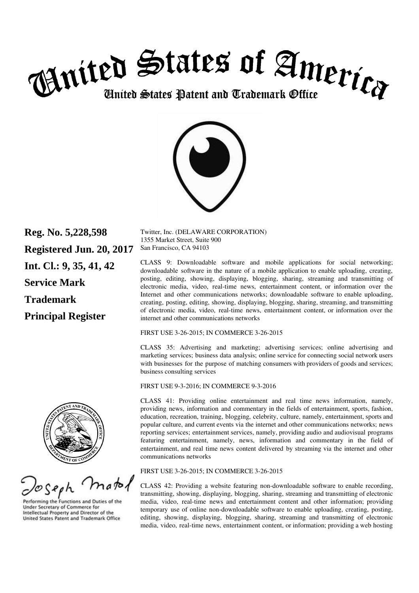



**Reg. No. 5,228,598 Registered Jun. 20, 2017 Int. Cl.: 9, 35, 41, 42 Service Mark Trademark Principal Register** 

matol

Performing the Functions and Duties of the **Under Secretary of Commerce for** Intellectual Property and Director of the United States Patent and Trademark Office

Twitter, Inc. (DELAWARE CORPORATION) 1355 Market Street, Suite 900 San Francisco, CA 94103

CLASS 9: Downloadable software and mobile applications for social networking; downloadable software in the nature of a mobile application to enable uploading, creating, posting, editing, showing, displaying, blogging, sharing, streaming and transmitting of electronic media, video, real-time news, entertainment content, or information over the Internet and other communications networks; downloadable software to enable uploading, creating, posting, editing, showing, displaying, blogging, sharing, streaming, and transmitting of electronic media, video, real-time news, entertainment content, or information over the internet and other communications networks

FIRST USE 3-26-2015; IN COMMERCE 3-26-2015

CLASS 35: Advertising and marketing; advertising services; online advertising and marketing services; business data analysis; online service for connecting social network users with businesses for the purpose of matching consumers with providers of goods and services; business consulting services

FIRST USE 9-3-2016; IN COMMERCE 9-3-2016

CLASS 41: Providing online entertainment and real time news information, namely, providing news, information and commentary in the fields of entertainment, sports, fashion, education, recreation, training, blogging, celebrity, culture, namely, entertainment, sports and popular culture, and current events via the internet and other communications networks; news reporting services; entertainment services, namely, providing audio and audiovisual programs featuring entertainment, namely, news, information and commentary in the field of entertainment, and real time news content delivered by streaming via the internet and other communications networks

FIRST USE 3-26-2015; IN COMMERCE 3-26-2015

CLASS 42: Providing a website featuring non-downloadable software to enable recording, transmitting, showing, displaying, blogging, sharing, streaming and transmitting of electronic media, video, real-time news and entertainment content and other information; providing temporary use of online non-downloadable software to enable uploading, creating, posting, editing, showing, displaying, blogging, sharing, streaming and transmitting of electronic media, video, real-time news, entertainment content, or information; providing a web hosting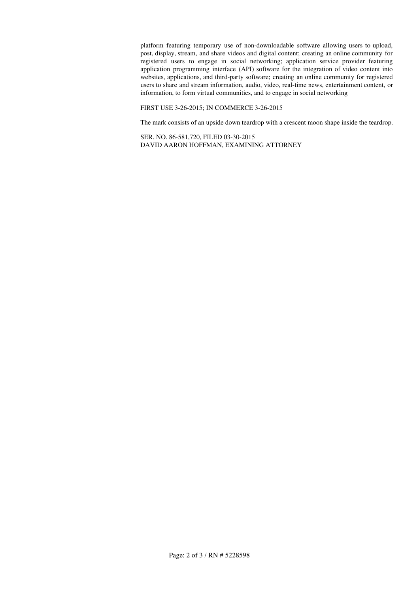platform featuring temporary use of non-downloadable software allowing users to upload, post, display, stream, and share videos and digital content; creating an online community for registered users to engage in social networking; application service provider featuring application programming interface (API) software for the integration of video content into websites, applications, and third-party software; creating an online community for registered users to share and stream information, audio, video, real-time news, entertainment content, or information, to form virtual communities, and to engage in social networking

FIRST USE 3-26-2015; IN COMMERCE 3-26-2015

The mark consists of an upside down teardrop with a crescent moon shape inside the teardrop.

SER. NO. 86-581,720, FILED 03-30-2015 DAVID AARON HOFFMAN, EXAMINING ATTORNEY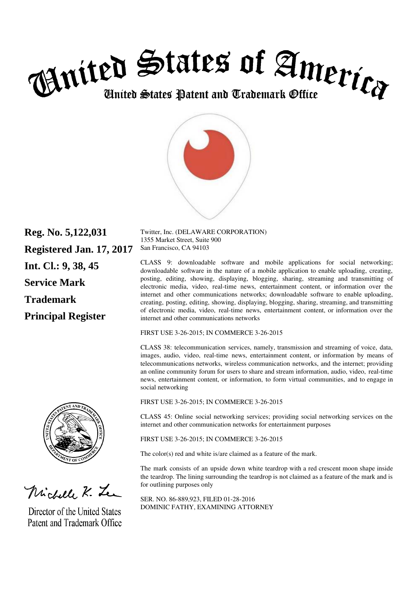



**Reg. No. 5,122,031 Registered Jan. 17, 2017 Int. Cl.: 9, 38, 45 Service Mark Trademark Principal Register** 

Michell K. Le

Director of the United States Patent and Trademark Office Twitter, Inc. (DELAWARE CORPORATION) 1355 Market Street, Suite 900 San Francisco, CA 94103

CLASS 9: downloadable software and mobile applications for social networking; downloadable software in the nature of a mobile application to enable uploading, creating, posting, editing, showing, displaying, blogging, sharing, streaming and transmitting of electronic media, video, real-time news, entertainment content, or information over the internet and other communications networks; downloadable software to enable uploading, creating, posting, editing, showing, displaying, blogging, sharing, streaming, and transmitting of electronic media, video, real-time news, entertainment content, or information over the internet and other communications networks

FIRST USE 3-26-2015; IN COMMERCE 3-26-2015

CLASS 38: telecommunication services, namely, transmission and streaming of voice, data, images, audio, video, real-time news, entertainment content, or information by means of telecommunications networks, wireless communication networks, and the internet; providing an online community forum for users to share and stream information, audio, video, real-time news, entertainment content, or information, to form virtual communities, and to engage in social networking

FIRST USE 3-26-2015; IN COMMERCE 3-26-2015

CLASS 45: Online social networking services; providing social networking services on the internet and other communication networks for entertainment purposes

FIRST USE 3-26-2015; IN COMMERCE 3-26-2015

The color(s) red and white is/are claimed as a feature of the mark.

The mark consists of an upside down white teardrop with a red crescent moon shape inside the teardrop. The lining surrounding the teardrop is not claimed as a feature of the mark and is for outlining purposes only

SER. NO. 86-889,923, FILED 01-28-2016 DOMINIC FATHY, EXAMINING ATTORNEY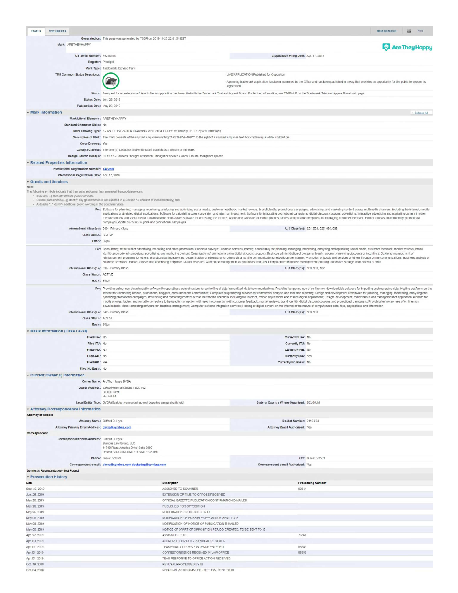| <b>STATUS</b>                  | <b>DOCUMENTS</b>                                                                         |                                                                                                                      |                                                                                                                    |                                                                                                                                                                                                                                                                                                                                                                                                                                                                                                                                                                                                                                                                                                                                                                                                                                                                                                                                                          |                                        | <b>Back to Search</b><br>Print |
|--------------------------------|------------------------------------------------------------------------------------------|----------------------------------------------------------------------------------------------------------------------|--------------------------------------------------------------------------------------------------------------------|----------------------------------------------------------------------------------------------------------------------------------------------------------------------------------------------------------------------------------------------------------------------------------------------------------------------------------------------------------------------------------------------------------------------------------------------------------------------------------------------------------------------------------------------------------------------------------------------------------------------------------------------------------------------------------------------------------------------------------------------------------------------------------------------------------------------------------------------------------------------------------------------------------------------------------------------------------|----------------------------------------|--------------------------------|
|                                |                                                                                          | Generated on: This page was generated by TSDR on 2019-11-23 22:01:54 EST                                             |                                                                                                                    |                                                                                                                                                                                                                                                                                                                                                                                                                                                                                                                                                                                                                                                                                                                                                                                                                                                                                                                                                          |                                        |                                |
|                                | Mark: ARETHEYHAPPY                                                                       |                                                                                                                      |                                                                                                                    |                                                                                                                                                                                                                                                                                                                                                                                                                                                                                                                                                                                                                                                                                                                                                                                                                                                                                                                                                          |                                        | <b>Are They Happy</b>          |
|                                |                                                                                          |                                                                                                                      |                                                                                                                    |                                                                                                                                                                                                                                                                                                                                                                                                                                                                                                                                                                                                                                                                                                                                                                                                                                                                                                                                                          |                                        |                                |
|                                | US Serial Number: 79240516                                                               |                                                                                                                      |                                                                                                                    | Application Filing Date: Apr. 17, 2018                                                                                                                                                                                                                                                                                                                                                                                                                                                                                                                                                                                                                                                                                                                                                                                                                                                                                                                   |                                        |                                |
|                                |                                                                                          | Register: Principal                                                                                                  |                                                                                                                    |                                                                                                                                                                                                                                                                                                                                                                                                                                                                                                                                                                                                                                                                                                                                                                                                                                                                                                                                                          |                                        |                                |
|                                |                                                                                          | Mark Type: Trademark, Service Mark                                                                                   |                                                                                                                    |                                                                                                                                                                                                                                                                                                                                                                                                                                                                                                                                                                                                                                                                                                                                                                                                                                                                                                                                                          |                                        |                                |
|                                | TM5 Common Status Descriptor.                                                            |                                                                                                                      |                                                                                                                    | LIVE/APPLICATION/Published for Opposition                                                                                                                                                                                                                                                                                                                                                                                                                                                                                                                                                                                                                                                                                                                                                                                                                                                                                                                |                                        |                                |
|                                |                                                                                          |                                                                                                                      |                                                                                                                    | A pending trademark application has been examined by the Office and has been published in a way that provides an opportunity for the public to oppose its<br>registration.                                                                                                                                                                                                                                                                                                                                                                                                                                                                                                                                                                                                                                                                                                                                                                               |                                        |                                |
|                                |                                                                                          |                                                                                                                      |                                                                                                                    | Status: A request for an extension of time to file an opposition has been filed with the Trademark Trial and Appeal Board. For further information, see TTABVUE on the Trademark Trial and Appeal Board web page.                                                                                                                                                                                                                                                                                                                                                                                                                                                                                                                                                                                                                                                                                                                                        |                                        |                                |
|                                |                                                                                          | Status Date: Jun. 25, 2019                                                                                           |                                                                                                                    |                                                                                                                                                                                                                                                                                                                                                                                                                                                                                                                                                                                                                                                                                                                                                                                                                                                                                                                                                          |                                        |                                |
|                                | Publication Date: May 28, 2019                                                           |                                                                                                                      |                                                                                                                    |                                                                                                                                                                                                                                                                                                                                                                                                                                                                                                                                                                                                                                                                                                                                                                                                                                                                                                                                                          |                                        |                                |
| - Mark Information             |                                                                                          |                                                                                                                      |                                                                                                                    |                                                                                                                                                                                                                                                                                                                                                                                                                                                                                                                                                                                                                                                                                                                                                                                                                                                                                                                                                          |                                        | $\triangle$ Collapse All       |
|                                | Mark Literal Elements: ARETHEYHAPPY                                                      |                                                                                                                      |                                                                                                                    |                                                                                                                                                                                                                                                                                                                                                                                                                                                                                                                                                                                                                                                                                                                                                                                                                                                                                                                                                          |                                        |                                |
|                                | Standard Character Claim: No                                                             |                                                                                                                      |                                                                                                                    |                                                                                                                                                                                                                                                                                                                                                                                                                                                                                                                                                                                                                                                                                                                                                                                                                                                                                                                                                          |                                        |                                |
|                                |                                                                                          |                                                                                                                      | Mark Drawing Type: 3 - AN ILLUSTRATION DRAWING WHICH INCLUDES WORD(S)/ LETTER(S)/NUMBER(S)                         |                                                                                                                                                                                                                                                                                                                                                                                                                                                                                                                                                                                                                                                                                                                                                                                                                                                                                                                                                          |                                        |                                |
|                                |                                                                                          |                                                                                                                      |                                                                                                                    | Description of Mark: The mark consists of the stylized turquoise wording "ARETHEYHAPPY" to the right of a stylized turquoise text box containing a white, stylized pin.                                                                                                                                                                                                                                                                                                                                                                                                                                                                                                                                                                                                                                                                                                                                                                                  |                                        |                                |
|                                | Color Drawing: Yes                                                                       |                                                                                                                      |                                                                                                                    |                                                                                                                                                                                                                                                                                                                                                                                                                                                                                                                                                                                                                                                                                                                                                                                                                                                                                                                                                          |                                        |                                |
|                                |                                                                                          | Color(s) Claimed: The color(s) turquoise and white is/are claimed as a feature of the mark.                          |                                                                                                                    |                                                                                                                                                                                                                                                                                                                                                                                                                                                                                                                                                                                                                                                                                                                                                                                                                                                                                                                                                          |                                        |                                |
|                                |                                                                                          |                                                                                                                      | Design Search Code(s): 01.15.17 - Balloons, thought or speech; Thought or speech clouds; Clouds, thought or speech |                                                                                                                                                                                                                                                                                                                                                                                                                                                                                                                                                                                                                                                                                                                                                                                                                                                                                                                                                          |                                        |                                |
|                                | - Related Properties Information                                                         |                                                                                                                      |                                                                                                                    |                                                                                                                                                                                                                                                                                                                                                                                                                                                                                                                                                                                                                                                                                                                                                                                                                                                                                                                                                          |                                        |                                |
|                                | International Registration Number: 1422290                                               |                                                                                                                      |                                                                                                                    |                                                                                                                                                                                                                                                                                                                                                                                                                                                                                                                                                                                                                                                                                                                                                                                                                                                                                                                                                          |                                        |                                |
| Goods and Services             | International Registration Date: Apr. 17, 2018                                           |                                                                                                                      |                                                                                                                    |                                                                                                                                                                                                                                                                                                                                                                                                                                                                                                                                                                                                                                                                                                                                                                                                                                                                                                                                                          |                                        |                                |
| Note:                          |                                                                                          |                                                                                                                      |                                                                                                                    |                                                                                                                                                                                                                                                                                                                                                                                                                                                                                                                                                                                                                                                                                                                                                                                                                                                                                                                                                          |                                        |                                |
|                                | The following symbols indicate that the registrant/owner has amended the goods/services: |                                                                                                                      |                                                                                                                    |                                                                                                                                                                                                                                                                                                                                                                                                                                                                                                                                                                                                                                                                                                                                                                                                                                                                                                                                                          |                                        |                                |
|                                | · Brackets [] indicate deleted goods/services;                                           | · Double parenthesis (()) identify any goods/services not claimed in a Section 15 affidavit of incontestability; and |                                                                                                                    |                                                                                                                                                                                                                                                                                                                                                                                                                                                                                                                                                                                                                                                                                                                                                                                                                                                                                                                                                          |                                        |                                |
|                                | · Asterisks " " identify additional (new) wording in the goods/services.                 |                                                                                                                      |                                                                                                                    |                                                                                                                                                                                                                                                                                                                                                                                                                                                                                                                                                                                                                                                                                                                                                                                                                                                                                                                                                          |                                        |                                |
|                                |                                                                                          |                                                                                                                      |                                                                                                                    | For: Software for planning, managing, monitoring, analysing and optimizing social media, customer feedback, market reviews, brand identity, promotional campaigns, advertising, and marketing content across multimedia channe<br>applications and related digital applications; Software for calculating sales conversion and return on investment; Software for integrating promotional campaigns, digital discount coupons, advertising, interactive advertis                                                                                                                                                                                                                                                                                                                                                                                                                                                                                         |                                        |                                |
|                                |                                                                                          |                                                                                                                      |                                                                                                                    | media channels and social media; Downloadable cloud-based software for accessing the internet; Application software for mobile phones, tablets and portable computers for managing customer feedback, market reviews, brand id                                                                                                                                                                                                                                                                                                                                                                                                                                                                                                                                                                                                                                                                                                                           |                                        |                                |
|                                | International Class(es): 009 - Primary Class                                             | campaigns, digital discount coupons and promotional campaigns                                                        |                                                                                                                    |                                                                                                                                                                                                                                                                                                                                                                                                                                                                                                                                                                                                                                                                                                                                                                                                                                                                                                                                                          | U.S Class(es): 021, 023, 026, 036, 038 |                                |
|                                | Class Status: ACTIVE                                                                     |                                                                                                                      |                                                                                                                    |                                                                                                                                                                                                                                                                                                                                                                                                                                                                                                                                                                                                                                                                                                                                                                                                                                                                                                                                                          |                                        |                                |
|                                | <b>Basis: 66(a)</b>                                                                      |                                                                                                                      |                                                                                                                    |                                                                                                                                                                                                                                                                                                                                                                                                                                                                                                                                                                                                                                                                                                                                                                                                                                                                                                                                                          |                                        |                                |
|                                |                                                                                          |                                                                                                                      |                                                                                                                    | For: Consultancy in the field of advertising, marketing and sales promotions; Business surveys; Business services, namely, consultancy for planning, managing, monitoring, analysing and optimizing social media, customer fee                                                                                                                                                                                                                                                                                                                                                                                                                                                                                                                                                                                                                                                                                                                           |                                        |                                |
|                                |                                                                                          |                                                                                                                      |                                                                                                                    | identity, promotional campaigns, advertising, and marketing content; Organisation of promotions using digital discount coupons; Business administration of consumer loyalty programs involving discounts or incentives; Busine                                                                                                                                                                                                                                                                                                                                                                                                                                                                                                                                                                                                                                                                                                                           |                                        |                                |
|                                |                                                                                          |                                                                                                                      |                                                                                                                    | reimbursement programs for others; Brand positioning services; Dissemination of advertising for others via an online communications network on the Internet; Promotion of goods and services of others through online communic<br>customer feedback, market reviews and advertising response; Market research; Automated management of databases and files; Computerized database management featuring automated storage and retrieval of data                                                                                                                                                                                                                                                                                                                                                                                                                                                                                                           |                                        |                                |
|                                | International Class(es): 035 - Primary Class                                             |                                                                                                                      |                                                                                                                    | U.S Class(es): 100, 101, 102                                                                                                                                                                                                                                                                                                                                                                                                                                                                                                                                                                                                                                                                                                                                                                                                                                                                                                                             |                                        |                                |
|                                | Class Status: ACTIVE                                                                     |                                                                                                                      |                                                                                                                    |                                                                                                                                                                                                                                                                                                                                                                                                                                                                                                                                                                                                                                                                                                                                                                                                                                                                                                                                                          |                                        |                                |
|                                | Basis: 66(a)                                                                             |                                                                                                                      |                                                                                                                    |                                                                                                                                                                                                                                                                                                                                                                                                                                                                                                                                                                                                                                                                                                                                                                                                                                                                                                                                                          |                                        |                                |
|                                |                                                                                          |                                                                                                                      |                                                                                                                    | For: Providing online, non-downloadable software for operating a control system for controlling of data transmitted via telecommunications; Providing temporary use of on-line non-downloadable software for importing and man                                                                                                                                                                                                                                                                                                                                                                                                                                                                                                                                                                                                                                                                                                                           |                                        |                                |
|                                | International Class(es): 042 - Primary Class<br>Class Status: ACTIVE                     |                                                                                                                      |                                                                                                                    | Internet for connecting brands, promotions, bloggers, consumers and communities; Computer programming services for commercial analysis and real-time reporting; Design and development of software for planning, managing, mon<br>optimizing promotional campaigns, advertising and marketing content across multimedia channels, including the internet, mobile applications and related digital applications; Design, development, maintenance and management<br>mobile phones, tablets and portable computers to be used in connection with used in connection with customer feedback, market reviews, brand identity, digital discount coupons and promotional campaigns; Providing temporary<br>downloadable cloud computing software for database management; Computer systems integration services; Hosting of digital content on the internet in the nature of computerized data, files, applications and information<br>U.S Class(es): 100, 101 |                                        |                                |
|                                | <b>Basis: 66(a)</b>                                                                      |                                                                                                                      |                                                                                                                    |                                                                                                                                                                                                                                                                                                                                                                                                                                                                                                                                                                                                                                                                                                                                                                                                                                                                                                                                                          |                                        |                                |
|                                | - Basis Information (Case Level)                                                         |                                                                                                                      |                                                                                                                    |                                                                                                                                                                                                                                                                                                                                                                                                                                                                                                                                                                                                                                                                                                                                                                                                                                                                                                                                                          |                                        |                                |
|                                | Filed Use: No                                                                            |                                                                                                                      |                                                                                                                    | Currently Use: No                                                                                                                                                                                                                                                                                                                                                                                                                                                                                                                                                                                                                                                                                                                                                                                                                                                                                                                                        |                                        |                                |
|                                | Filed ITU: No                                                                            |                                                                                                                      |                                                                                                                    | Currently ITU: No                                                                                                                                                                                                                                                                                                                                                                                                                                                                                                                                                                                                                                                                                                                                                                                                                                                                                                                                        |                                        |                                |
|                                | Filed 44D: No                                                                            |                                                                                                                      |                                                                                                                    | Currently 44E: No                                                                                                                                                                                                                                                                                                                                                                                                                                                                                                                                                                                                                                                                                                                                                                                                                                                                                                                                        |                                        |                                |
|                                | Filed 44E: No                                                                            |                                                                                                                      |                                                                                                                    | Currently 66A: Yes                                                                                                                                                                                                                                                                                                                                                                                                                                                                                                                                                                                                                                                                                                                                                                                                                                                                                                                                       |                                        |                                |
|                                | Filed 66A: Yes                                                                           |                                                                                                                      |                                                                                                                    | <b>Currently No Basis: No</b>                                                                                                                                                                                                                                                                                                                                                                                                                                                                                                                                                                                                                                                                                                                                                                                                                                                                                                                            |                                        |                                |
|                                | Filed No Basis: No                                                                       |                                                                                                                      |                                                                                                                    |                                                                                                                                                                                                                                                                                                                                                                                                                                                                                                                                                                                                                                                                                                                                                                                                                                                                                                                                                          |                                        |                                |
|                                | - Current Owner(s) Information                                                           |                                                                                                                      |                                                                                                                    |                                                                                                                                                                                                                                                                                                                                                                                                                                                                                                                                                                                                                                                                                                                                                                                                                                                                                                                                                          |                                        |                                |
|                                |                                                                                          | Owner Name: AreTheyHappy BVBA                                                                                        |                                                                                                                    |                                                                                                                                                                                                                                                                                                                                                                                                                                                                                                                                                                                                                                                                                                                                                                                                                                                                                                                                                          |                                        |                                |
|                                |                                                                                          | Owner Address: Jakob Heremansstraat 4 bus 402<br><b>B-9000 Gent</b>                                                  |                                                                                                                    |                                                                                                                                                                                                                                                                                                                                                                                                                                                                                                                                                                                                                                                                                                                                                                                                                                                                                                                                                          |                                        |                                |
|                                |                                                                                          | <b>BELGIUM</b>                                                                                                       |                                                                                                                    |                                                                                                                                                                                                                                                                                                                                                                                                                                                                                                                                                                                                                                                                                                                                                                                                                                                                                                                                                          |                                        |                                |
|                                |                                                                                          | Legal Entity Type: BVBA (Besloten vennootschap met beperkte aansprakelijkheid)                                       |                                                                                                                    | State or Country Where Organized: BELGIUM                                                                                                                                                                                                                                                                                                                                                                                                                                                                                                                                                                                                                                                                                                                                                                                                                                                                                                                |                                        |                                |
|                                | - Attorney/Correspondence Information                                                    |                                                                                                                      |                                                                                                                    |                                                                                                                                                                                                                                                                                                                                                                                                                                                                                                                                                                                                                                                                                                                                                                                                                                                                                                                                                          |                                        |                                |
| <b>Attorney of Record</b>      |                                                                                          |                                                                                                                      |                                                                                                                    |                                                                                                                                                                                                                                                                                                                                                                                                                                                                                                                                                                                                                                                                                                                                                                                                                                                                                                                                                          |                                        |                                |
|                                | Attorney Name: Clifford D. Hyra<br>Attorney Primary Email Address: chyra@symbus.com      |                                                                                                                      |                                                                                                                    | Docket Number: 7116-274<br>Attorney Email Authorized: Yes                                                                                                                                                                                                                                                                                                                                                                                                                                                                                                                                                                                                                                                                                                                                                                                                                                                                                                |                                        |                                |
| Correspondent                  |                                                                                          |                                                                                                                      |                                                                                                                    |                                                                                                                                                                                                                                                                                                                                                                                                                                                                                                                                                                                                                                                                                                                                                                                                                                                                                                                                                          |                                        |                                |
|                                | Correspondent Name/Address: Clifford D. Hyra                                             | Symbus Law Group, LLC<br>11710 Plaza America Drive Suite 2000<br>Reston, VIRGINIA UNITED STATES 20190                |                                                                                                                    |                                                                                                                                                                                                                                                                                                                                                                                                                                                                                                                                                                                                                                                                                                                                                                                                                                                                                                                                                          |                                        |                                |
|                                |                                                                                          | Phone: 866-913-3499                                                                                                  |                                                                                                                    |                                                                                                                                                                                                                                                                                                                                                                                                                                                                                                                                                                                                                                                                                                                                                                                                                                                                                                                                                          | Fax: 866-913-3501                      |                                |
|                                | Domestic Representative - Not Found                                                      | Correspondent e-mail: chyra@symbus.com docketing@symbus.com                                                          |                                                                                                                    | Correspondent e-mail Authorized: Yes                                                                                                                                                                                                                                                                                                                                                                                                                                                                                                                                                                                                                                                                                                                                                                                                                                                                                                                     |                                        |                                |
| - Prosecution History          |                                                                                          |                                                                                                                      |                                                                                                                    |                                                                                                                                                                                                                                                                                                                                                                                                                                                                                                                                                                                                                                                                                                                                                                                                                                                                                                                                                          |                                        |                                |
| Date                           |                                                                                          |                                                                                                                      | Description                                                                                                        |                                                                                                                                                                                                                                                                                                                                                                                                                                                                                                                                                                                                                                                                                                                                                                                                                                                                                                                                                          | <b>Proceeding Number</b>               |                                |
| Sep. 30, 2019                  |                                                                                          |                                                                                                                      | ASSIGNED TO EXAMINER                                                                                               | 90341                                                                                                                                                                                                                                                                                                                                                                                                                                                                                                                                                                                                                                                                                                                                                                                                                                                                                                                                                    |                                        |                                |
| Jun. 25, 2019                  |                                                                                          |                                                                                                                      | EXTENSION OF TIME TO OPPOSE RECEIVED                                                                               |                                                                                                                                                                                                                                                                                                                                                                                                                                                                                                                                                                                                                                                                                                                                                                                                                                                                                                                                                          |                                        |                                |
| May 28, 2019                   |                                                                                          |                                                                                                                      | OFFICIAL GAZETTE PUBLICATION CONFIRMATION E-MAILED                                                                 |                                                                                                                                                                                                                                                                                                                                                                                                                                                                                                                                                                                                                                                                                                                                                                                                                                                                                                                                                          |                                        |                                |
| May 28, 2019                   |                                                                                          |                                                                                                                      | PUBLISHED FOR OPPOSITION                                                                                           |                                                                                                                                                                                                                                                                                                                                                                                                                                                                                                                                                                                                                                                                                                                                                                                                                                                                                                                                                          |                                        |                                |
| May 25, 2019                   |                                                                                          | NOTIFICATION PROCESSED BY IB                                                                                         |                                                                                                                    |                                                                                                                                                                                                                                                                                                                                                                                                                                                                                                                                                                                                                                                                                                                                                                                                                                                                                                                                                          |                                        |                                |
| May 08, 2019<br>May 08, 2019   |                                                                                          | NOTIFICATION OF POSSIBLE OPPOSITION SENT TO IB<br>NOTIFICATION OF NOTICE OF PUBLICATION E-MAILED                     |                                                                                                                    |                                                                                                                                                                                                                                                                                                                                                                                                                                                                                                                                                                                                                                                                                                                                                                                                                                                                                                                                                          |                                        |                                |
| May 08, 2019                   |                                                                                          |                                                                                                                      | NOTICE OF START OF OPPOSITION PERIOD CREATED, TO BE SENT TO IB                                                     |                                                                                                                                                                                                                                                                                                                                                                                                                                                                                                                                                                                                                                                                                                                                                                                                                                                                                                                                                          |                                        |                                |
| Apr. 22, 2019                  |                                                                                          |                                                                                                                      | ASSIGNED TO LIE                                                                                                    | 76568                                                                                                                                                                                                                                                                                                                                                                                                                                                                                                                                                                                                                                                                                                                                                                                                                                                                                                                                                    |                                        |                                |
| Apr. 09, 2019                  |                                                                                          |                                                                                                                      | APPROVED FOR PUB - PRINCIPAL REGISTER                                                                              |                                                                                                                                                                                                                                                                                                                                                                                                                                                                                                                                                                                                                                                                                                                                                                                                                                                                                                                                                          |                                        |                                |
| Apr. 01, 2019                  |                                                                                          |                                                                                                                      | TEAS/EMAIL CORRESPONDENCE ENTERED                                                                                  | 88889                                                                                                                                                                                                                                                                                                                                                                                                                                                                                                                                                                                                                                                                                                                                                                                                                                                                                                                                                    |                                        |                                |
| Apr. 01, 2019                  |                                                                                          |                                                                                                                      | CORRESPONDENCE RECEIVED IN LAW OFFICE                                                                              | 88889                                                                                                                                                                                                                                                                                                                                                                                                                                                                                                                                                                                                                                                                                                                                                                                                                                                                                                                                                    |                                        |                                |
| Apr. 01, 2019<br>Oct. 19, 2018 |                                                                                          |                                                                                                                      | TEAS RESPONSE TO OFFICE ACTION RECEIVED<br>REFUSAL PROCESSED BY IB                                                 |                                                                                                                                                                                                                                                                                                                                                                                                                                                                                                                                                                                                                                                                                                                                                                                                                                                                                                                                                          |                                        |                                |
| Oct. 04, 2018                  |                                                                                          |                                                                                                                      | NON-FINAL ACTION MAILED - REFUSAL SENT TO IB                                                                       |                                                                                                                                                                                                                                                                                                                                                                                                                                                                                                                                                                                                                                                                                                                                                                                                                                                                                                                                                          |                                        |                                |
|                                |                                                                                          |                                                                                                                      |                                                                                                                    |                                                                                                                                                                                                                                                                                                                                                                                                                                                                                                                                                                                                                                                                                                                                                                                                                                                                                                                                                          |                                        |                                |